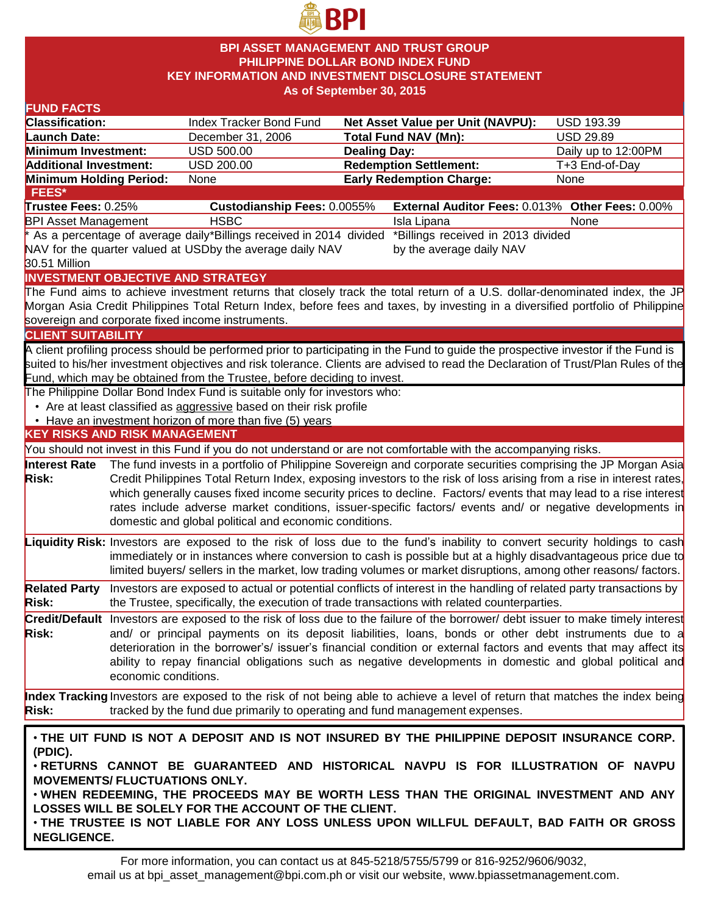

### **BPI ASSET MANAGEMENT AND TRUST GROUP PHILIPPINE DOLLAR BOND INDEX FUND KEY INFORMATION AND INVESTMENT DISCLOSURE STATEMENT As of September 30, 2015**

| <b>FUND FACTS</b>                                                                     |                      |                                                                           |                                                                                                                                    |                     |  |  |
|---------------------------------------------------------------------------------------|----------------------|---------------------------------------------------------------------------|------------------------------------------------------------------------------------------------------------------------------------|---------------------|--|--|
| <b>Classification:</b>                                                                |                      | Index Tracker Bond Fund                                                   | Net Asset Value per Unit (NAVPU):                                                                                                  | <b>USD 193.39</b>   |  |  |
| <b>Launch Date:</b>                                                                   |                      | December 31, 2006                                                         | <b>Total Fund NAV (Mn):</b>                                                                                                        | <b>USD 29.89</b>    |  |  |
| Minimum Investment:                                                                   |                      | <b>USD 500.00</b>                                                         | <b>Dealing Day:</b>                                                                                                                | Daily up to 12:00PM |  |  |
| <b>Additional Investment:</b>                                                         |                      | <b>USD 200.00</b>                                                         | <b>Redemption Settlement:</b>                                                                                                      | T+3 End-of-Day      |  |  |
| Minimum Holding Period:                                                               |                      | None                                                                      | <b>Early Redemption Charge:</b>                                                                                                    | None                |  |  |
| FEES*                                                                                 |                      |                                                                           |                                                                                                                                    |                     |  |  |
| Trustee Fees: 0.25%                                                                   |                      | Custodianship Fees: 0.0055%                                               | External Auditor Fees: 0.013% Other Fees: 0.00%                                                                                    |                     |  |  |
| <b>BPI Asset Management</b>                                                           |                      | <b>HSBC</b>                                                               | Isla Lipana                                                                                                                        | None                |  |  |
|                                                                                       |                      |                                                                           | As a percentage of average daily*Billings received in 2014 divided *Billings received in 2013 divided *                            |                     |  |  |
|                                                                                       |                      | NAV for the quarter valued at USDby the average daily NAV                 | by the average daily NAV                                                                                                           |                     |  |  |
| 30.51 Million                                                                         |                      |                                                                           |                                                                                                                                    |                     |  |  |
|                                                                                       |                      | <b>INVESTMENT OBJECTIVE AND STRATEGY</b>                                  |                                                                                                                                    |                     |  |  |
|                                                                                       |                      |                                                                           | The Fund aims to achieve investment returns that closely track the total return of a U.S. dollar-denominated index, the JP         |                     |  |  |
|                                                                                       |                      |                                                                           | Morgan Asia Credit Philippines Total Return Index, before fees and taxes, by investing in a diversified portfolio of Philippine    |                     |  |  |
|                                                                                       |                      | sovereign and corporate fixed income instruments.                         |                                                                                                                                    |                     |  |  |
| <b>CLIENT SUITABILITY</b>                                                             |                      |                                                                           |                                                                                                                                    |                     |  |  |
|                                                                                       |                      |                                                                           | A client profiling process should be performed prior to participating in the Fund to guide the prospective investor if the Fund is |                     |  |  |
|                                                                                       |                      |                                                                           | suited to his/her investment objectives and risk tolerance. Clients are advised to read the Declaration of Trust/Plan Rules of the |                     |  |  |
|                                                                                       |                      | Fund, which may be obtained from the Trustee, before deciding to invest.  |                                                                                                                                    |                     |  |  |
|                                                                                       |                      | The Philippine Dollar Bond Index Fund is suitable only for investors who: |                                                                                                                                    |                     |  |  |
|                                                                                       |                      | • Are at least classified as aggressive based on their risk profile       |                                                                                                                                    |                     |  |  |
|                                                                                       |                      | • Have an investment horizon of more than five (5) years                  |                                                                                                                                    |                     |  |  |
| <b>KEY RISKS AND RISK MANAGEMENT</b>                                                  |                      |                                                                           |                                                                                                                                    |                     |  |  |
|                                                                                       |                      |                                                                           | You should not invest in this Fund if you do not understand or are not comfortable with the accompanying risks.                    |                     |  |  |
| <b>Interest Rate</b>                                                                  |                      |                                                                           | The fund invests in a portfolio of Philippine Sovereign and corporate securities comprising the JP Morgan Asia                     |                     |  |  |
| <b>Risk:</b>                                                                          |                      |                                                                           | Credit Philippines Total Return Index, exposing investors to the risk of loss arising from a rise in interest rates,               |                     |  |  |
|                                                                                       |                      |                                                                           | which generally causes fixed income security prices to decline. Factors/ events that may lead to a rise interest                   |                     |  |  |
|                                                                                       |                      |                                                                           | rates include adverse market conditions, issuer-specific factors/ events and/ or negative developments in                          |                     |  |  |
|                                                                                       |                      | domestic and global political and economic conditions.                    |                                                                                                                                    |                     |  |  |
|                                                                                       |                      |                                                                           | Liquidity Risk: Investors are exposed to the risk of loss due to the fund's inability to convert security holdings to cash         |                     |  |  |
|                                                                                       |                      |                                                                           | immediately or in instances where conversion to cash is possible but at a highly disadvantageous price due to                      |                     |  |  |
|                                                                                       |                      |                                                                           | limited buyers/ sellers in the market, low trading volumes or market disruptions, among other reasons/factors.                     |                     |  |  |
|                                                                                       |                      |                                                                           |                                                                                                                                    |                     |  |  |
| <b>Related Party</b>                                                                  |                      |                                                                           | Investors are exposed to actual or potential conflicts of interest in the handling of related party transactions by                |                     |  |  |
| <b>Risk:</b>                                                                          |                      |                                                                           | the Trustee, specifically, the execution of trade transactions with related counterparties.                                        |                     |  |  |
|                                                                                       |                      |                                                                           | Credit/Default Investors are exposed to the risk of loss due to the failure of the borrower/ debt issuer to make timely interest   |                     |  |  |
| <b>Risk:</b>                                                                          |                      |                                                                           | and/ or principal payments on its deposit liabilities, loans, bonds or other debt instruments due to a                             |                     |  |  |
|                                                                                       |                      |                                                                           | deterioration in the borrower's/ issuer's financial condition or external factors and events that may affect its                   |                     |  |  |
|                                                                                       |                      |                                                                           | ability to repay financial obligations such as negative developments in domestic and global political and                          |                     |  |  |
|                                                                                       | economic conditions. |                                                                           |                                                                                                                                    |                     |  |  |
|                                                                                       |                      |                                                                           | Index Tracking Investors are exposed to the risk of not being able to achieve a level of return that matches the index being       |                     |  |  |
| <b>Risk:</b>                                                                          |                      |                                                                           | tracked by the fund due primarily to operating and fund management expenses.                                                       |                     |  |  |
|                                                                                       |                      |                                                                           |                                                                                                                                    |                     |  |  |
|                                                                                       |                      |                                                                           | . THE UIT FUND IS NOT A DEPOSIT AND IS NOT INSURED BY THE PHILIPPINE DEPOSIT INSURANCE CORP.                                       |                     |  |  |
| (PDIC).                                                                               |                      |                                                                           |                                                                                                                                    |                     |  |  |
| . RETURNS CANNOT BE GUARANTEED AND HISTORICAL NAVPU IS FOR ILLUSTRATION OF NAVPU      |                      |                                                                           |                                                                                                                                    |                     |  |  |
| <b>MOVEMENTS/FLUCTUATIONS ONLY.</b>                                                   |                      |                                                                           |                                                                                                                                    |                     |  |  |
| . WHEN REDEEMING, THE PROCEEDS MAY BE WORTH LESS THAN THE ORIGINAL INVESTMENT AND ANY |                      |                                                                           |                                                                                                                                    |                     |  |  |
| LOSSES WILL BE SOLELY FOR THE ACCOUNT OF THE CLIENT.                                  |                      |                                                                           |                                                                                                                                    |                     |  |  |
|                                                                                       |                      |                                                                           | . THE TRUSTEE IS NOT LIABLE FOR ANY LOSS UNLESS UPON WILLFUL DEFAULT, BAD FAITH OR GROSS                                           |                     |  |  |
|                                                                                       | <b>NEGLIGENCE.</b>   |                                                                           |                                                                                                                                    |                     |  |  |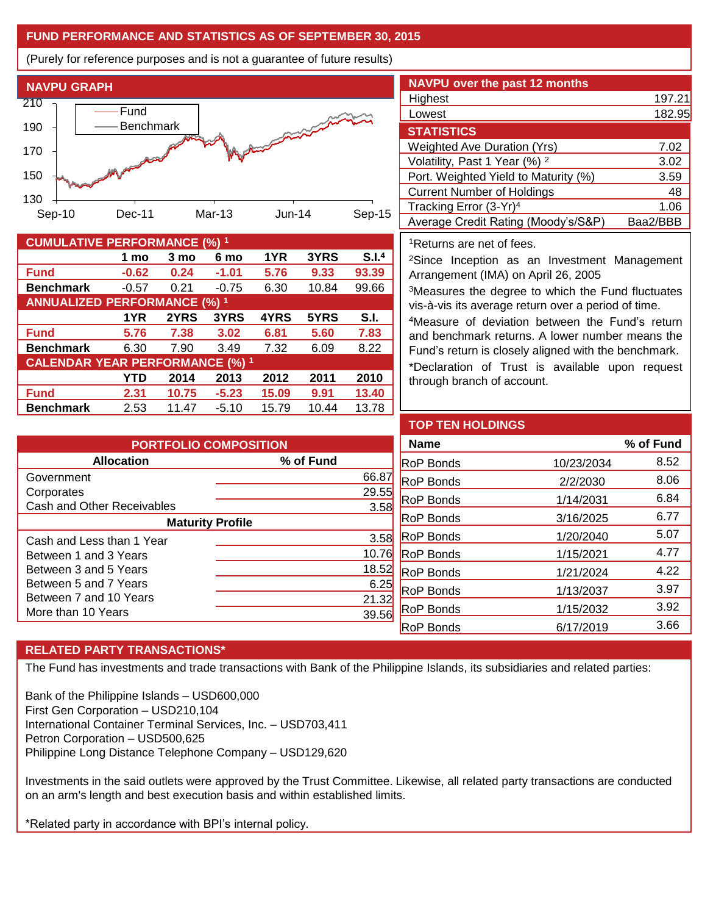## **FUND PERFORMANCE AND STATISTICS AS OF SEPTEMBER 30, 2015**

(Purely for reference purposes and is not a guarantee of future results)



| <b>CUMULATIVE PERFORMANCE (%) 1</b>    |         |       |         |       |       |                   |
|----------------------------------------|---------|-------|---------|-------|-------|-------------------|
|                                        | 1 mo    | 3 mo  | 6 mo    | 1YR   | 3YRS  | S.I. <sup>4</sup> |
| <b>Fund</b>                            | $-0.62$ | 0.24  | $-1.01$ | 5.76  | 9.33  | 93.39             |
| <b>Benchmark</b>                       | $-0.57$ | 0.21  | $-0.75$ | 6.30  | 10.84 | 99.66             |
| <b>ANNUALIZED PERFORMANCE (%) 1</b>    |         |       |         |       |       |                   |
|                                        | 1YR     | 2YRS  | 3YRS    | 4YRS  | 5YRS  | S.I.              |
| <b>Fund</b>                            | 5.76    | 7.38  | 3.02    | 6.81  | 5.60  | 7.83              |
| <b>Benchmark</b>                       | 6.30    | 7.90  | 3.49    | 7.32  | 6.09  | 8.22              |
| <b>CALENDAR YEAR PERFORMANCE (%) 1</b> |         |       |         |       |       |                   |
|                                        | YTD     | 2014  | 2013    | 2012  | 2011  | 2010              |
| <b>Fund</b>                            | 2.31    | 10.75 | $-5.23$ | 15.09 | 9.91  | 13.40             |
| <b>Benchmark</b>                       | 2.53    | 11.47 | $-5.10$ | 15.79 | 10.44 | 13.78             |

| <b>NAVPU over the past 12 months</b>     |          |
|------------------------------------------|----------|
| Highest                                  | 197.21   |
| Lowest                                   | 182.95   |
| <b>STATISTICS</b>                        |          |
| <b>Weighted Ave Duration (Yrs)</b>       | 7.02     |
| Volatility, Past 1 Year (%) <sup>2</sup> | 3.02     |
| Port. Weighted Yield to Maturity (%)     | 3.59     |
| <b>Current Number of Holdings</b>        | 48       |
| Tracking Error (3-Yr) <sup>4</sup>       | 1.06     |
| Average Credit Rating (Moody's/S&P)      | Baa2/BBB |

#### <sup>1</sup>Returns are net of fees.

<sup>2</sup>Since Inception as an Investment Management Arrangement (IMA) on April 26, 2005

<sup>3</sup>Measures the degree to which the Fund fluctuates vis-à-vis its average return over a period of time.

<sup>4</sup>Measure of deviation between the Fund's return and benchmark returns. A lower number means the Fund's return is closely aligned with the benchmark.

\*Declaration of Trust is available upon request through branch of account.

| <b>PORTFOLIO COMPOSITION</b> |           |  |  |  |
|------------------------------|-----------|--|--|--|
| <b>Allocation</b>            | % of Fund |  |  |  |
| Government                   | 66.87     |  |  |  |
| Corporates                   | 29.55     |  |  |  |
| Cash and Other Receivables   | 3.58      |  |  |  |
| <b>Maturity Profile</b>      |           |  |  |  |
| Cash and Less than 1 Year    | 3.58      |  |  |  |
| Between 1 and 3 Years        | 10.76     |  |  |  |
| Between 3 and 5 Years        | 18.52     |  |  |  |
| Between 5 and 7 Years        | 6.25      |  |  |  |
| Between 7 and 10 Years       | 21.32     |  |  |  |
| More than 10 Years           |           |  |  |  |

| <b>TOP TEN HOLDINGS</b> |            |           |
|-------------------------|------------|-----------|
| <b>Name</b>             |            | % of Fund |
| <b>RoP Bonds</b>        | 10/23/2034 | 8.52      |
| <b>RoP Bonds</b>        | 2/2/2030   | 8.06      |
| <b>RoP Bonds</b>        | 1/14/2031  | 6.84      |
| <b>RoP Bonds</b>        | 3/16/2025  | 6.77      |
| <b>RoP Bonds</b>        | 1/20/2040  | 5.07      |
| <b>RoP Bonds</b>        | 1/15/2021  | 4.77      |
| <b>RoP Bonds</b>        | 1/21/2024  | 4.22      |
| <b>RoP Bonds</b>        | 1/13/2037  | 3.97      |
| <b>RoP Bonds</b>        | 1/15/2032  | 3.92      |
| <b>RoP Bonds</b>        | 6/17/2019  | 3.66      |

## **RELATED PARTY TRANSACTIONS\***

The Fund has investments and trade transactions with Bank of the Philippine Islands, its subsidiaries and related parties:

Bank of the Philippine Islands – USD600,000 First Gen Corporation – USD210,104 International Container Terminal Services, Inc. – USD703,411 Petron Corporation – USD500,625 Philippine Long Distance Telephone Company – USD129,620

Investments in the said outlets were approved by the Trust Committee. Likewise, all related party transactions are conducted on an arm's length and best execution basis and within established limits.

\*Related party in accordance with BPI's internal policy.